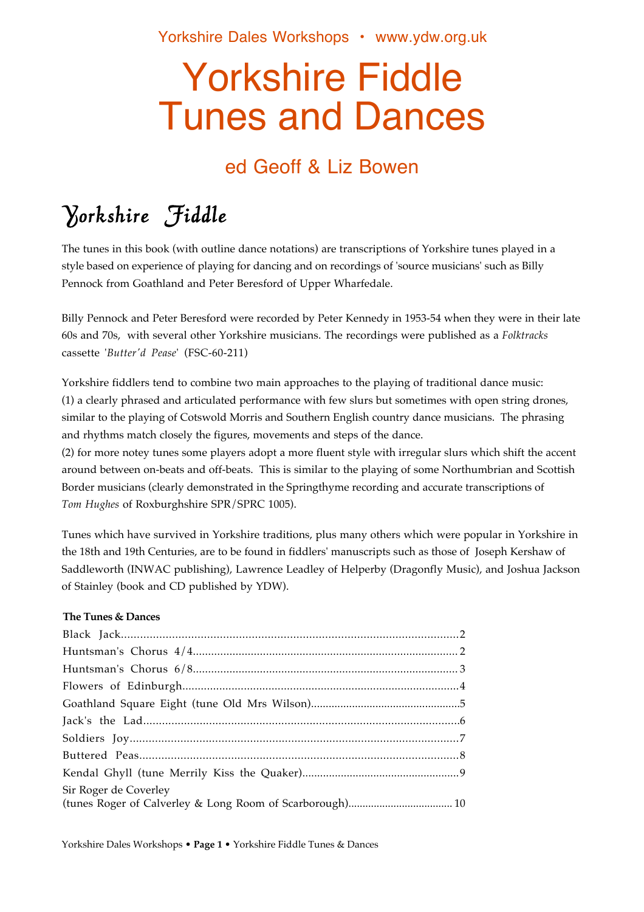# Yorkshire Fiddle Tunes and Dances

### ed Geoff & Liz Bowen

# Yorkshire Fiddle

The tunes in this book (with outline dance notations) are transcriptions of Yorkshire tunes played in a style based on experience of playing for dancing and on recordings of 'source musicians' such as Billy Pennock from Goathland and Peter Beresford of Upper Wharfedale.

Billy Pennock and Peter Beresford were recorded by Peter Kennedy in 1953-54 when they were in their late 60s and 70s, with several other Yorkshire musicians. The recordings were published as a *Folktracks* cassette '*Butter'd Pease*' (FSC-60-211)

Yorkshire fiddlers tend to combine two main approaches to the playing of traditional dance music: (1) a clearly phrased and articulated performance with few slurs but sometimes with open string drones, similar to the playing of Cotswold Morris and Southern English country dance musicians. The phrasing and rhythms match closely the figures, movements and steps of the dance.

(2) for more notey tunes some players adopt a more fluent style with irregular slurs which shift the accent around between on-beats and off-beats. This is similar to the playing of some Northumbrian and Scottish Border musicians (clearly demonstrated in the Springthyme recording and accurate transcriptions of *Tom Hughes* of Roxburghshire SPR/SPRC 1005).

Tunes which have survived in Yorkshire traditions, plus many others which were popular in Yorkshire in the 18th and 19th Centuries, are to be found in fiddlers' manuscripts such as those of Joseph Kershaw of Saddleworth (INWAC publishing), Lawrence Leadley of Helperby (Dragonfly Music), and Joshua Jackson of Stainley (book and CD published by YDW).

#### **The Tunes & Dances**

| Sir Roger de Coverley |  |
|-----------------------|--|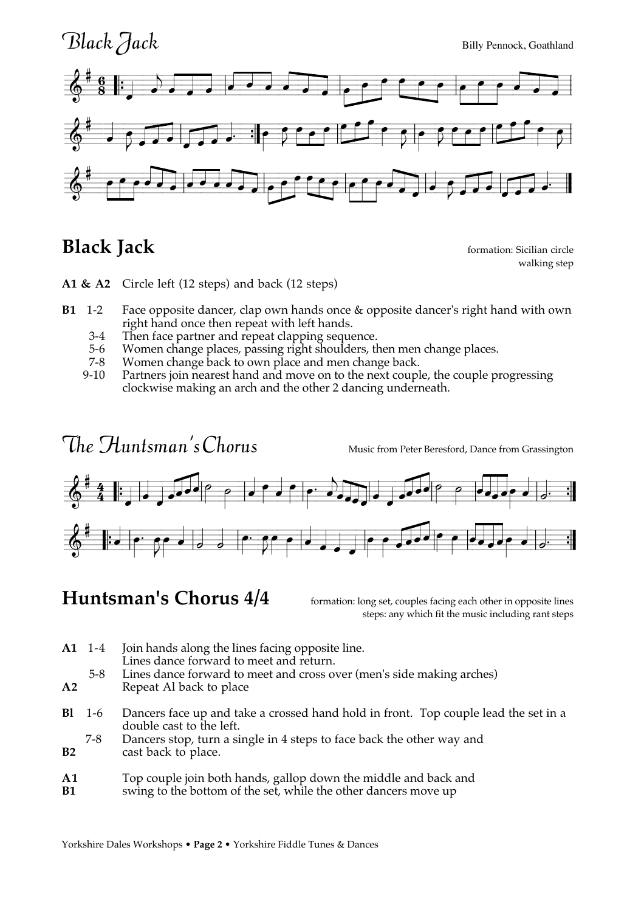

#### **Black Jack formation:** Sicilian circle

walking step

**A1 & A2** Circle left (12 steps) and back (12 steps)

- **B1** 1-2 Face opposite dancer, clap own hands once & opposite dancer's right hand with own right hand once then repeat with left hands.
	- 3-4 Then face partner and repeat clapping sequence.
	- 5-6 Women change places, passing right shoulders, then men change places.<br>7-8 Women change back to own place and men change back.
	- Women change back to own place and men change back.
	- 9-10 Partners join nearest hand and move on to the next couple, the couple progressing clockwise making an arch and the other 2 dancing underneath.

# $The  $H$ untsman's Chorus Music from Peter Beresford, Dance from Grassington$



### **Huntsman's Chorus 4/4** formation: long set, couples facing each other in opposite lines

steps: any which fit the music including rant steps

- **A1** 1-4 Join hands along the lines facing opposite line. Lines dance forward to meet and return.
	- 5-8 Lines dance forward to meet and cross over (men's side making arches)
- **A2** Repeat Al back to place
- **Bl** 1-6 Dancers face up and take a crossed hand hold in front. Top couple lead the set in a double cast to the left.
- 7-8 Dancers stop, turn a single in 4 steps to face back the other way and cast back to place. cast back to place.

#### **A1** Top couple join both hands, gallop down the middle and back and

**B1** swing to the bottom of the set, while the other dancers move up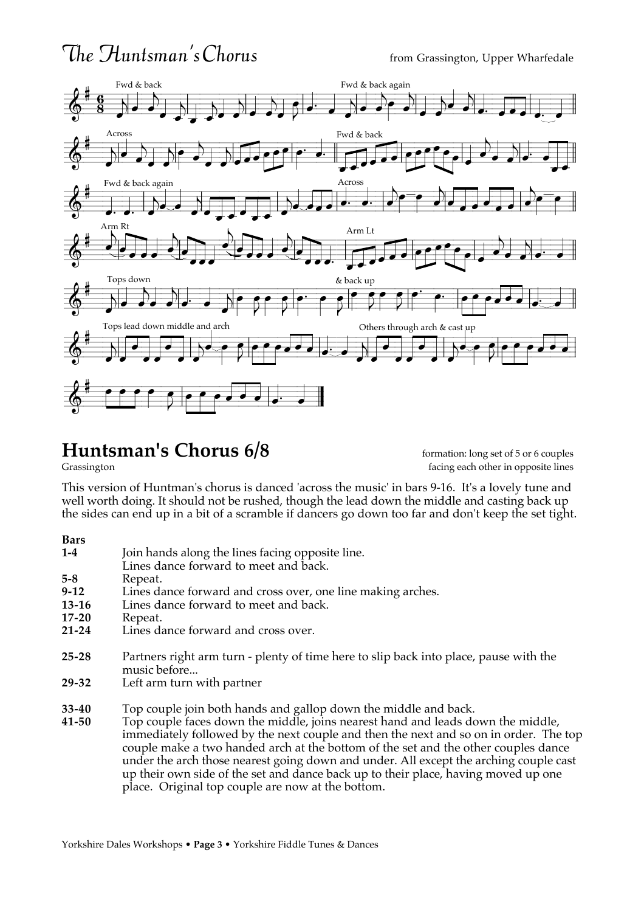### $The Huntsman's Chorus$  from Grassington, Upper Wharfedale



# **Huntsman's Chorus 6/8** formation: long set of 5 or 6 couples<br>Grassington facing each other in opposite lines

facing each other in opposite lines

This version of Huntman's chorus is danced 'across the music' in bars 9-16. It's a lovely tune and well worth doing. It should not be rushed, though the lead down the middle and casting back up the sides can end up in a bit of a scramble if dancers go down too far and don't keep the set tight.

#### **Bars**

| $1-4$   | Join hands along the lines facing opposite line.<br>Lines dance forward to meet and back.             |
|---------|-------------------------------------------------------------------------------------------------------|
| $5 - 8$ | Repeat.                                                                                               |
| $9-12$  | Lines dance forward and cross over, one line making arches.                                           |
| 13-16   | Lines dance forward to meet and back.                                                                 |
| 17-20   | Repeat.                                                                                               |
| 21-24   | Lines dance forward and cross over.                                                                   |
| 25-28   | Partners right arm turn - plenty of time here to slip back into place, pause with the<br>music before |
| 29-32   | Left arm turn with partner                                                                            |
| 33-40   | Top couple join both hands and gallop down the middle and back.                                       |

**41-50** Top couple faces down the middle, joins nearest hand and leads down the middle, immediately followed by the next couple and then the next and so on in order. The top couple make a two handed arch at the bottom of the set and the other couples dance under the arch those nearest going down and under. All except the arching couple cast up their own side of the set and dance back up to their place, having moved up one place. Original top couple are now at the bottom.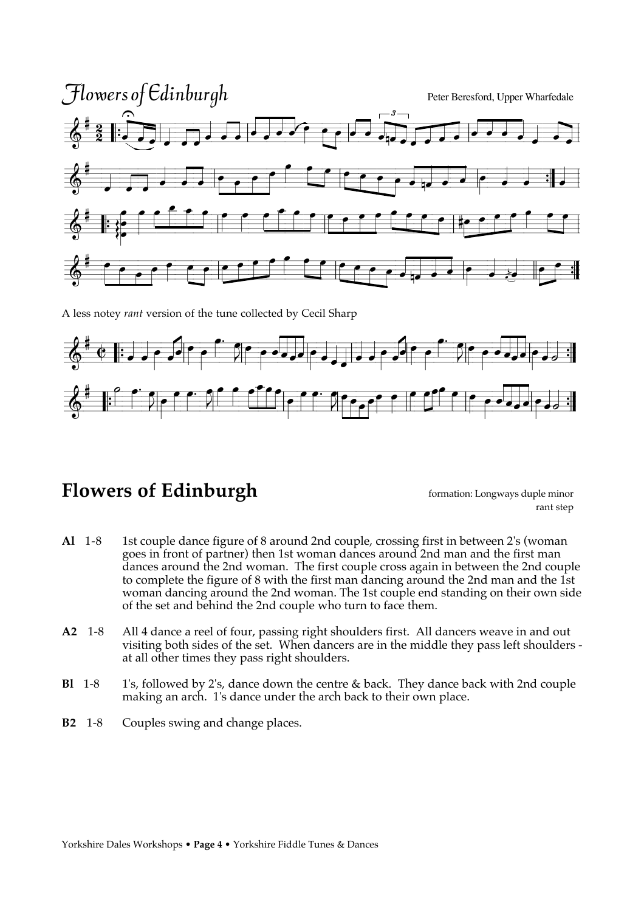

A less notey *rant* version of the tune collected by Cecil Sharp



#### **Flowers of Edinburgh formation:** Longways duple minor

rant step

- **Al** 1-8 1st couple dance figure of 8 around 2nd couple, crossing first in between 2's (woman goes in front of partner) then 1st woman dances around 2nd man and the first man dances around the 2nd woman. The first couple cross again in between the 2nd couple to complete the figure of 8 with the first man dancing around the 2nd man and the 1st woman dancing around the 2nd woman. The 1st couple end standing on their own side of the set and behind the 2nd couple who turn to face them.
- **A2** 1-8 All 4 dance a reel of four, passing right shoulders first. All dancers weave in and out visiting both sides of the set. When dancers are in the middle they pass left shoulders at all other times they pass right shoulders.
- **Bl** 1-8 1's, followed by 2's, dance down the centre & back. They dance back with 2nd couple making an arch. 1's dance under the arch back to their own place.
- **B2** 1-8 Couples swing and change places.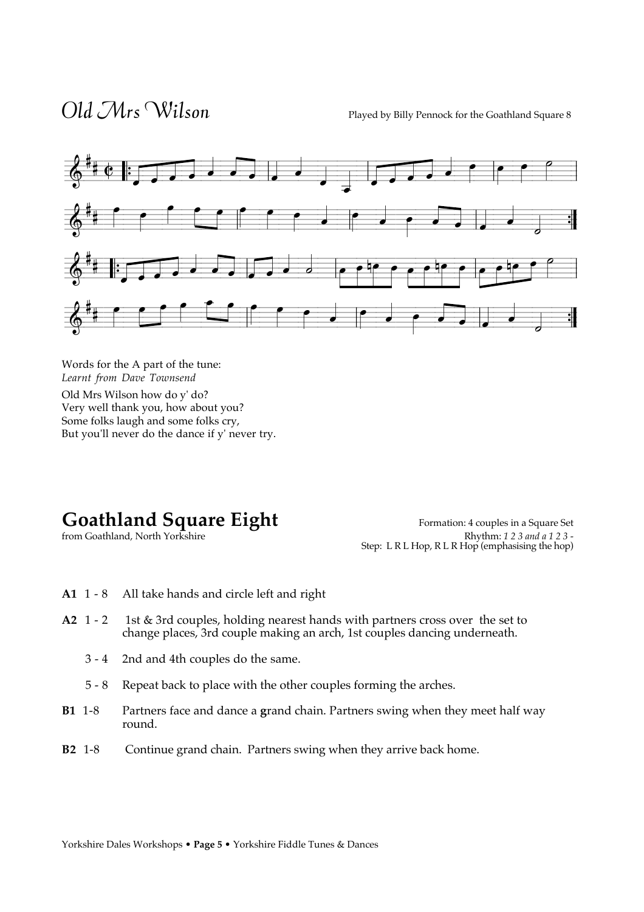$Old$   $Mrs$   $Wilson$  Played by Billy Pennock for the Goathland Square 8



Words for the A part of the tune: *Learnt from Dave Townsend* 

Old Mrs Wilson how do y' do? Very well thank you, how about you? Some folks laugh and some folks cry, But you'll never do the dance if y' never try.

from Goathland, North Yorkshire

**Goathland Square Eight**<br>
Formation: 4 couples in a Square Set<br>
Formation: 4 couples in a Square Set<br>
Rhythm: 123 and a 123-Step: L R L Hop, R L R Hop (emphasising the hop)

- **A1** 1 8 All take hands and circle left and right
- **A2** 1 2 1st & 3rd couples, holding nearest hands with partners cross over the set to change places, 3rd couple making an arch, 1st couples dancing underneath.
	- 3 4 2nd and 4th couples do the same.
	- 5 8 Repeat back to place with the other couples forming the arches.
- **B1** 1-8 Partners face and dance a **g**rand chain. Partners swing when they meet half way round.
- **B2** 1-8 Continue grand chain. Partners swing when they arrive back home.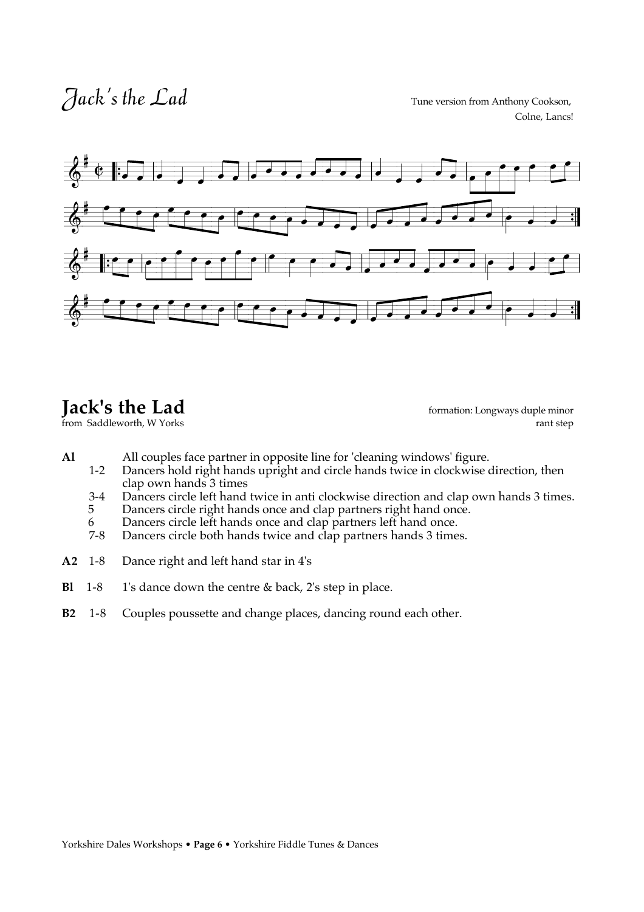Colne, Lancs!



from Saddleworth, W Yorks

**Jack's the Lad** formation: Longways duple minor from Saddleworth, W Yorks **formation**: Longways duple minor

- Al All couples face partner in opposite line for 'cleaning windows' figure.<br>1-2 Dancers hold right hands upright and circle hands twice in clockwise of
	- Dancers hold right hands upright and circle hands twice in clockwise direction, then clap own hands 3 times
	- 3-4 Dancers circle left hand twice in anti clockwise direction and clap own hands 3 times.<br>5 Dancers circle right hands once and clap partners right hand once.
	- Dancers circle right hands once and clap partners right hand once.
	- 6 Dancers circle left hands once and clap partners left hand once.
	- 7-8 Dancers circle both hands twice and clap partners hands 3 times.
- **A2** 1-8 Dance right and left hand star in 4's
- **Bl** 1-8 1's dance down the centre & back, 2's step in place.
- **B2** 1-8 Couples poussette and change places, dancing round each other.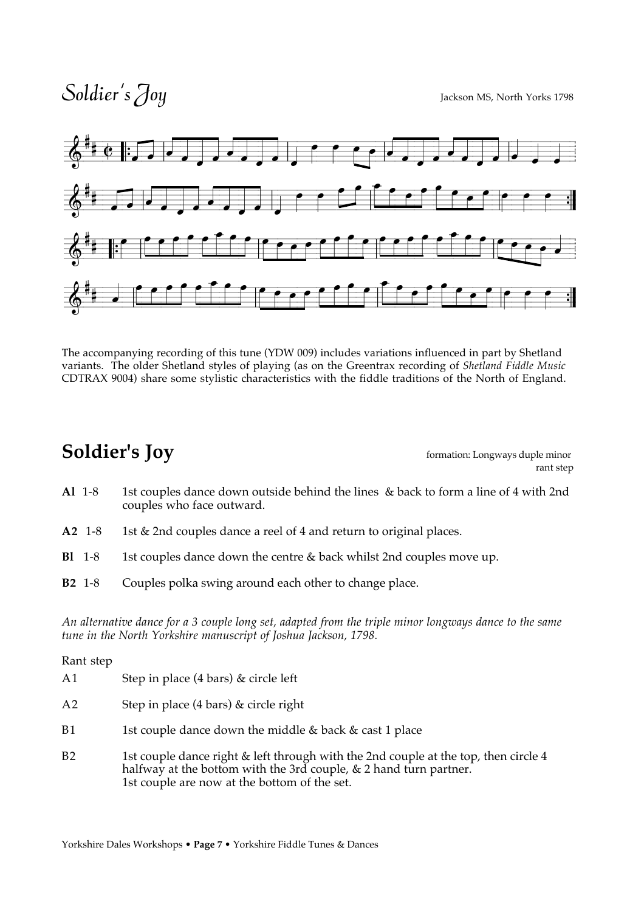## Soldier's Joy



The accompanying recording of this tune (YDW 009) includes variations influenced in part by Shetland variants. The older Shetland styles of playing (as on the Greentrax recording of *Shetland Fiddle Music*  CDTRAX 9004) share some stylistic characteristics with the fiddle traditions of the North of England.

### **Soldier's Joy** formation: Longways duple minor

rant step

- **Al** 1-8 1st couples dance down outside behind the lines & back to form a line of 4 with 2nd couples who face outward.
- **A2** 1-8 1st & 2nd couples dance a reel of 4 and return to original places.
- **Bl** 1-8 1st couples dance down the centre & back whilst 2nd couples move up.
- **B2** 1-8 Couples polka swing around each other to change place.

*An alternative dance for a 3 couple long set, adapted from the triple minor longways dance to the same tune in the North Yorkshire manuscript of Joshua Jackson, 1798.*

#### Rant step

| A <sub>1</sub> | Step in place (4 bars) & circle left |
|----------------|--------------------------------------|
|----------------|--------------------------------------|

- A2 Step in place (4 bars) & circle right
- B1 1st couple dance down the middle  $\&$  back  $\&$  cast 1 place
- B2 1st couple dance right & left through with the 2nd couple at the top, then circle 4 halfway at the bottom with the 3rd couple, & 2 hand turn partner. 1st couple are now at the bottom of the set.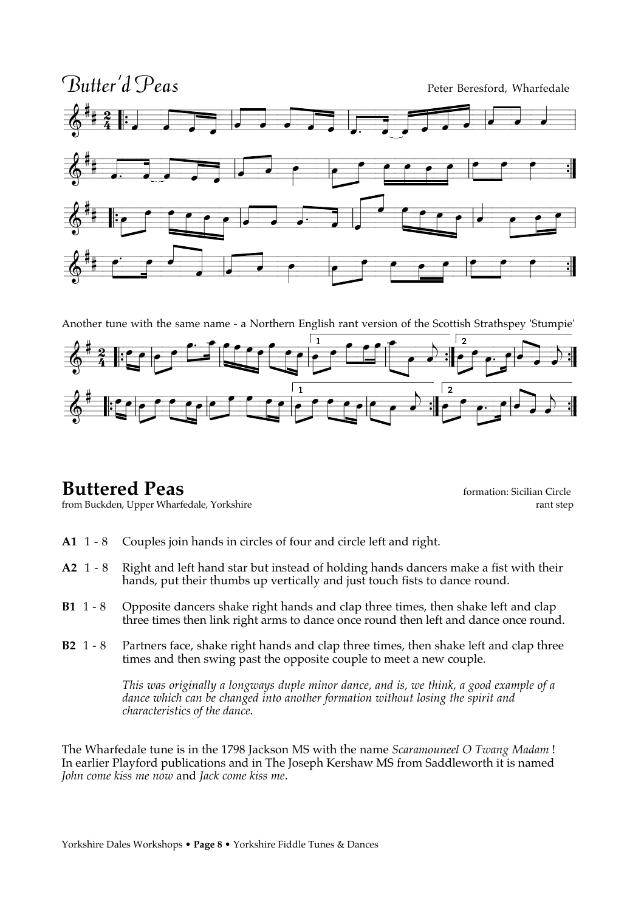

Another tune with the same name - a Northern English rant version of the Scottish Strathspey 'Stumpie'



from Buckden, Upper Wharfedale, Yorkshire

**Buttered Peas formation:** Sicilian Circle formation: Sicilian Circle formation: Sicilian Circle **formation**: Sicilian Circle **formation**: Sicilian Circle **f** 

- **A1** 1 8 Couples join hands in circles of four and circle left and right.
- **A2** 1 8 Right and left hand star but instead of holding hands dancers make a fist with their hands, put their thumbs up vertically and just touch fists to dance round.
- **B1** 1 8 Opposite dancers shake right hands and clap three times, then shake left and clap three times then link right arms to dance once round then left and dance once round.
- **B2** 1 8 Partners face, shake right hands and clap three times, then shake left and clap three times and then swing past the opposite couple to meet a new couple.

 *This was originally a longways duple minor dance, and is, we think, a good example of a dance which can be changed into another formation without losing the spirit and characteristics of the dance.*

The Wharfedale tune is in the 1798 Jackson MS with the name *Scaramouneel O Twang Madam* ! In earlier Playford publications and in The Joseph Kershaw MS from Saddleworth it is named *John come kiss me now* and *Jack come kiss me*.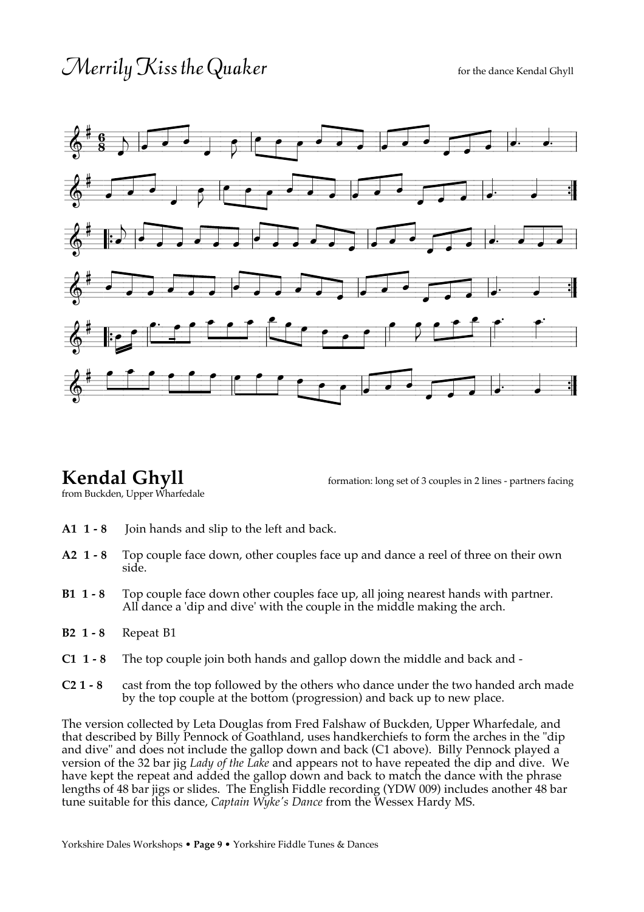## $\mathcal{M}$ errily  $K$ iss the Quaker for the dance Kendal Ghyll



**Kendal Ghyll** formation: long set of 3 couples in 2 lines - partners facing

from Buckden, Upper Wharfedale

- **A1 1 8** Join hands and slip to the left and back.
- **A2 1 8** Top couple face down, other couples face up and dance a reel of three on their own side.
- **B1 1 8** Top couple face down other couples face up, all joing nearest hands with partner. All dance a 'dip and dive' with the couple in the middle making the arch.
- **B2 1 8** Repeat B1
- **C1 1 8** The top couple join both hands and gallop down the middle and back and -
- **C2 1 8** cast from the top followed by the others who dance under the two handed arch made by the top couple at the bottom (progression) and back up to new place.

The version collected by Leta Douglas from Fred Falshaw of Buckden, Upper Wharfedale, and that described by Billy Pennock of Goathland, uses handkerchiefs to form the arches in the "dip and dive" and does not include the gallop down and back (C1 above). Billy Pennock played a version of the 32 bar jig *Lady of the Lake* and appears not to have repeated the dip and dive. We have kept the repeat and added the gallop down and back to match the dance with the phrase lengths of 48 bar jigs or slides. The English Fiddle recording (YDW 009) includes another 48 bar tune suitable for this dance, *Captain Wyke's Dance* from the Wessex Hardy MS.